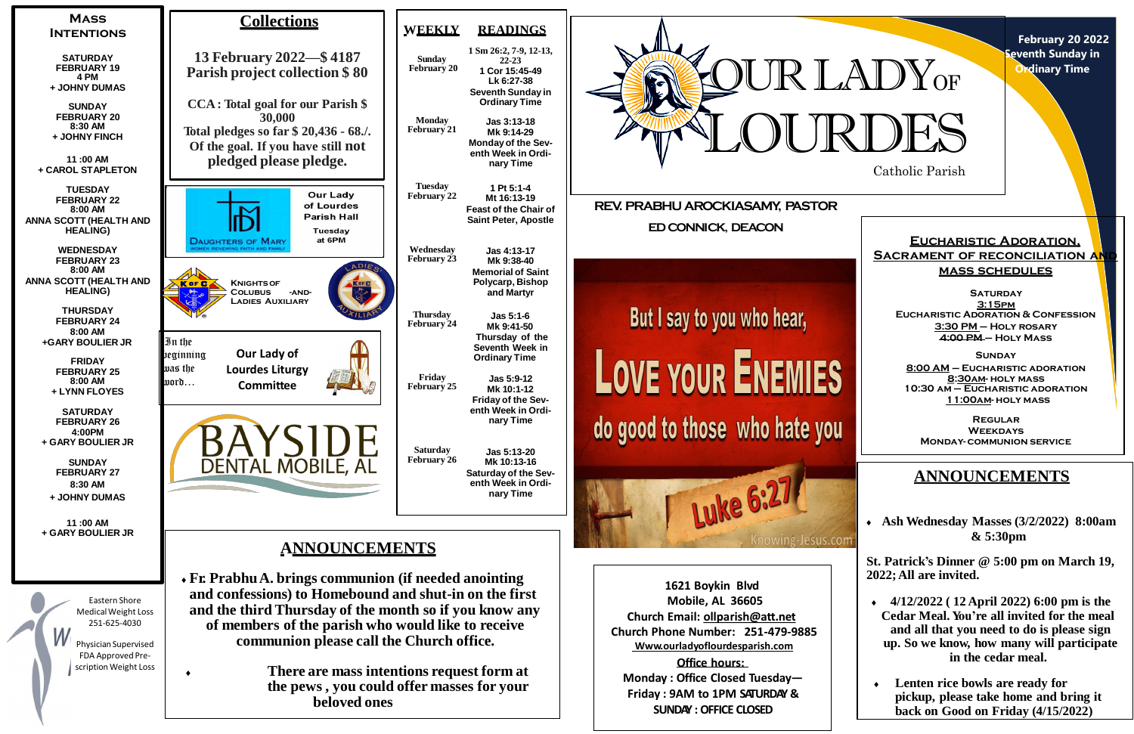

**February 20 2022 Reventh Sunday in Ordinary Time**

**SUNDAY : OFFICE CLOSED**



**SATURDAY 3:15pm Eucharistic Adoration & Confession 3:30 PM – Holy rosary 4:00 PM – Holy Mass**

# **ANNOUNCEMENTS**

 **Ash Wednesday Masses (3/2/2022) 8:00am & 5:30pm**

**St. Patrick's Dinner @ 5:00 pm on March 19, 2022;All are invited.**

- **4/12/2022 ( 12 April 2022) 6:00 pm is the Cedar Meal. You're all invited for the meal and all that you need to do is please sign up. So we know, how many will participate in the cedar meal.**
- **Lenten rice bowls are ready for pickup, please take home and bring it back on Good on Friday (4/15/2022)**

# **Eucharistic Adoration, SACRAMENT OF RECONCILIATION AN mass schedules**

**Sunday 8:00 AM – Eucharistic adoration 8:30am- holy mass 10:30 am – Eucharistic adoration 11:00am- holy mass**

**Regular Weekdays Monday- communion service**